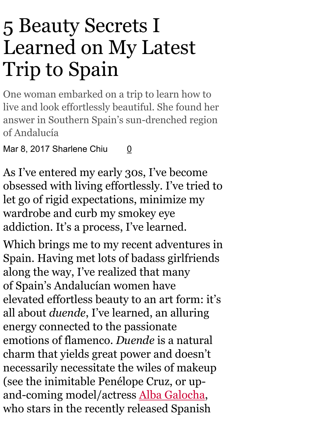# 5 Beauty Secrets I Learned on My Latest Trip to Spain

One woman embarked on a trip to learn how to live and look effortlessly beautiful. She found her answer in Southern Spain's sun-drenched region of Andalucía

Mar 8, 2[0](http://www.flare.com/beauty/beauty-secrets-spain/)17 Sharlene Chiu 0

As I've entered my early 30s, I've become obsessed with living effortlessly. I've tried to let go of rigid expectations, minimize my wardrobe and curb my smokey eye addiction. It's a process, I've learned.

Which brings me to my recent adventures in Spain. Having met lots of badass girlfriends along the way, I've realized that many of Spain's Andalucían women have elevated effortless beauty to an art form: it's all about *duende*, I've learned, an alluring energy connected to the passionate emotions of flamenco. *Duende* is a natural charm that yields great power and doesn't necessarily necessitate the wiles of makeup (see the inimitable Penélope Cruz, or up-and-coming model/actress Alba [Galocha,](https://www.instagram.com/albagalocha/?hl=en) who stars in the recently released Spanish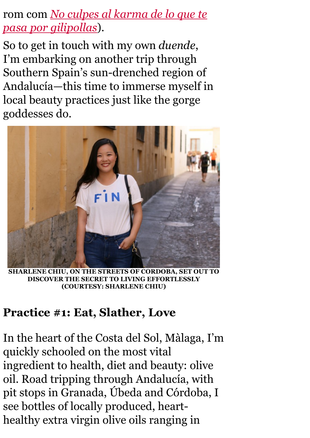## rom com *No culpes al karma de lo que te pasa por [gilipollas](https://www.youtube.com/watch?v=LpgfITqLfj4)*).

So to get in touch with my own *duende*, I'm embarking on another trip through Southern Spain's sun-drenched region of Andalucía—this time to immerse myself in local beauty practices just like the gorge goddesses do.



SHARLENE CHIU, ON THE STREETS OF CORDOBA, SET OUT TO DISCOVER THE SECRET TO LIVING EFFORTLESSLY (COURTESY: SHARLENE CHIU)

#### Practice #1: Eat, Slather, Love

In the heart of the Costa del Sol, Màlaga, I'm quickly schooled on the most vital ingredient to health, diet and beauty: olive oil. Road tripping through Andalucía, with pit stops in Granada, Úbeda and Córdoba, I see bottles of locally produced, hearthealthy extra virgin olive oils ranging in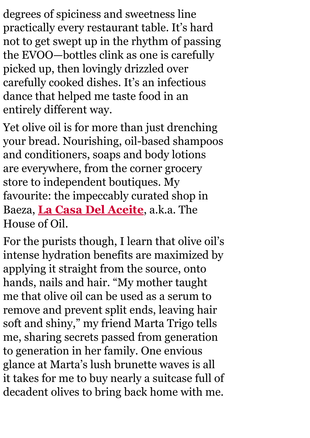degrees of spiciness and sweetness line practically every restaurant table. It's hard not to get swept up in the rhythm of passing the EVOO—bottles clink as one is carefully picked up, then lovingly drizzled over carefully cooked dishes. It's an infectious dance that helped me taste food in an entirely different way.

Yet olive oil is for more than just drenching your bread. Nourishing, oil-based shampoos and conditioners, soaps and body lotions are everywhere, from the corner grocery store to independent boutiques. My favourite: the impeccably curated shop in Baeza, La Casa Del [Aceite](http://www.casadelaceite.com/), a.k.a. The House of Oil.

For the purists though, I learn that olive oil's intense hydration benefits are maximized by applying it straight from the source, onto hands, nails and hair. "My mother taught me that olive oil can be used as a serum to remove and prevent split ends, leaving hair soft and shiny, " my friend Marta Trigo tells me, sharing secrets passed from generation to generation in her family. One envious glance at Marta's lush brunette waves is all it takes for me to buy nearly a suitcase full of decadent olives to bring back home with me.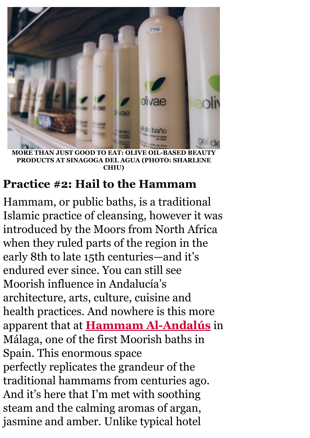

ORE THAN JUST GOOD TO EAT: PRODUCTS AT SINAGOGA DEL AGUA (PHOTO: SHARLENE CHIU)

#### Practice #2: Hail to the Hammam

Hammam, or public baths, is a traditional Islamic practice of cleansing, however it was introduced by the Moors from North Africa when they ruled parts of the region in the early 8th to late 15th centuries—and it's endured ever since. You can still see Moorish influence in Andalucía's architecture, arts, culture, cuisine and health practices. And nowhere is this more apparent that at **Hammam Al-Andalús** in Málaga, one of the first Moorish baths in Spain. This enormous space perfectly replicates the grandeur of the traditional hammams from centuries ago. And it's here that I'm met with soothing steam and the calming aromas of argan, jasmine and amber. Unlike typical hotel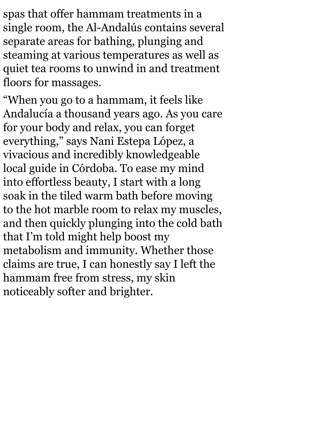spas that offer hammam treatments in a single room, the Al-Andalús contains several separate areas for bathing, plunging and steaming at various temperatures as well as quiet tea rooms to unwind in and treatment floors for massages.

"When you go to a hammam, it feels like Andalucía a thousand years ago. As you care for your body and relax, you can forget everything, " says Nani Estepa López, a vivacious and incredibly knowledgeable local guide in Córdoba. To ease my mind into effortless beauty, I start with a long soak in the tiled warm bath before moving to the hot marble room to relax my muscles, and then quickly plunging into the cold bath that I'm told might help boost my metabolism and immunity. Whether those claims are true, I can honestly say I left the hammam free from stress, my skin noticeably softer and brighter.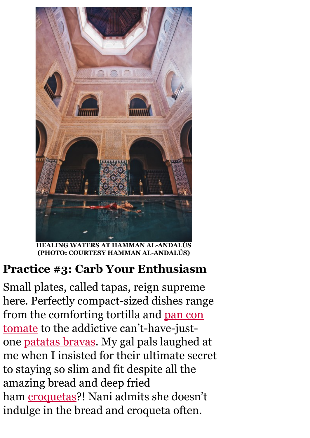

HEALING WATERS AT HAMMAN ALANDALÚS (PHOTO: COURTESY HAMMAN ALANDALÚS)

## Practice #3: Carb Your Enthusiasm

Small plates, called tapas, reign supreme here. Perfectly compact-sized dishes range from the comforting tortilla and pan con tomate to the addictive can't-have-justone [patatas](https://en.wikipedia.org/wiki/Patatas_bravas) bravas. My gal pals laughed at me when I insisted for their ultimate secret to staying so slim and fit despite all the amazing bread and deep fried ham **[croquetas](https://en.wikipedia.org/wiki/Croquette#Spain)**?! Nani admits she doesn't indulge in the bread and croqueta often.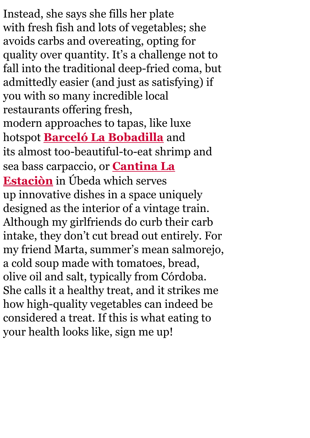Instead, she says she fills her plate with fresh fish and lots of vegetables; she avoids carbs and overeating, opting for quality over quantity. It's a challenge not to fall into the traditional deep-fried coma, but admittedly easier (and just as satisfying) if you with so many incredible local restaurants offering fresh, modern approaches to tapas, like luxe hotspot **Barceló La [Bobadilla](http://www.barcelolabobadilla.com/?lang=en#gastronomia)** and its almost too-beautiful-to-eat shrimp and sea bass [carpaccio,](https://www.facebook.com/cantinalaestacion/) or **Cantina La** Estaciòn in Úbeda which serves up innovative dishes in a space uniquely designed as the interior of a vintage train. Although my girlfriends do curb their carb intake, they don't cut bread out entirely. For my friend Marta, summer's mean salmorejo, a cold soup made with tomatoes, bread, olive oil and salt, typically from Córdoba. She calls it a healthy treat, and it strikes me how high-quality vegetables can indeed be considered a treat. If this is what eating to your health looks like, sign me up!